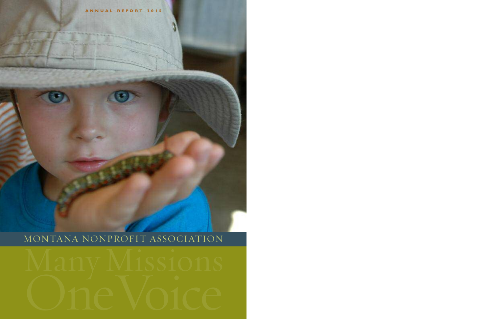**A N N U A L R E P O R T 2 0 1 5**

# MONTANA NONPROFIT ASSOCIATION

# MONTANA NONPROFIT ASSOCIATION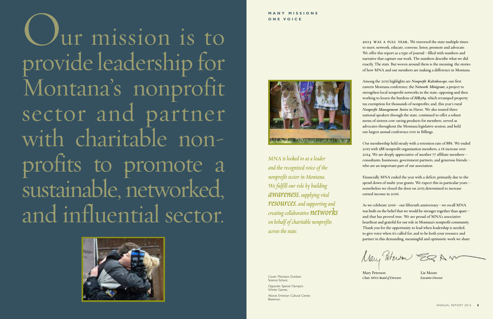**2015 WAS <sup>A</sup> FULL YEAR.** We traversed the state multiple times to meet, network, educate, convene, listen, promote and advocate. We offer this report as a type of journal—filled with numbers and narrative that capture our work. The numbers describe what we did exactly. The stats. But woven around them is the meaning: the stories of how MNA and our members are making a difference in Montana.

Among the 2015 highlights are *Nonprofit Kaleidoscope*, our first eastern Montana conference; the *Network Minigrant*, a project to strengthen local nonprofit networks in the state; opposing and then working to lessen the burdens of *HB389*, which revamped property tax exemption for thousands of nonprofits; and, this year's rural *Nonprofit Management Series* in Havre. We also toured three national speakers through the state, continued to offer a robust menu of sixteen cost-saving products for members, served as advocates throughout the Montana legislative session, and held our largest annual conference ever in Billings.

Mary Peterson Liz Moore *Chair, MNA Boardof Directors Executive Director*

Our membership held steady with a retention rate of 88%. We ended 2015 with 588 nonprofit organization members, a 1% increase over 2014. We are deeply appreciative of another 77 affiliate members consultants, businesses, government partners, and generous friends who are an important part of our association.

Financially MNA ended the year with a deficit, primarily due to the spend down of multi-year grants. We expect this in particular years nonetheless we closed the door on 2015 determined to increase earned income in 2016.

As we celebrate 2016—our fifteenth anniversary—we recall MNA was built on the belief that we would be stronger together than apart and that has proved true. We are proud of MNA's associative heartbeat and grateful for our role in Montana's nonprofit community. Thank you for the opportunity to lead when leadership is needed, to give voice when it's called for, and to be both your resource and partner in this demanding, meaningful and optimistic work we share.

Nay Peterson EQAW

Jur mission is to provide leadership for Montana's nonprofit sector and partner with charitable nonprofits to promote a sustainable, networked, and influential sector.





*MNA is looked to as a leader and the recognized voice of the nonprofit sector in Montana. We fulfill our role bybuilding awareness, supplyingvital resources,andsupportingand creating collaborative networks on behalfof charitable nonprofits across the state.*

Cover: Montana Outdoor Science School.

Opposite: Special Olympics Winter Games.

Above: Emerson Cultural Center, Bozeman.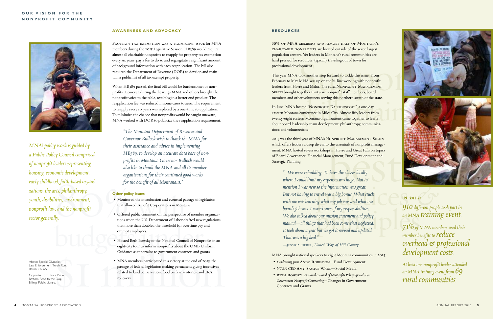## **O U R V I S I O N F O R T H E N O N P R O F I T C O M M U N I T Y**



### **AWA RE N E S S A N D A DVO C AC Y**

**PROPERTY TAX EXEMPTION WAS <sup>A</sup> PROMINENT ISSUE** for MNA members during the 2015 Legislative Session. HB389 would require almost all charitable nonprofits to reapply for property tax exemption every six years, pay a fee to do so and regurgitate a significant amount of background information with each reapplication. The bill also required the Department of Revenue (DOR) to develop and maintain a public list of all tax exempt property.

When HB389 passed, the final bill would be burdensome for nonprofits. However, during the hearings MNA and others brought the nonprofit voice to the table, resulting in a better end product. The reapplication fee was reduced in some cases to zero. The requirement to reapply every six years was replaced by a one-time re-application. To minimize the chance that nonprofits would be caught unaware, MNA worked with DOR to publicize the reapplication requirement.

omic development,<br>
or the benefit of all Montanans."<br>
Subsetions for the benefit of all Montanans."<br>
Subsetions in Montanans."<br>
Subsetions:<br>
Subsetions:<br>
According that allowed Benefit Corporations in Montanans."<br>
Montanan *MNA's policy work is guided by a Public Policy Council comprised of nonprofit leaders representing housing, economicdevelopment, earlychildhood, faith-basedorganizations, thearts, philanthropy, youth,disabilities, environment, nonprofit law, and the nonprofit sector generally.*

*"The Montana Department of Revenue and Governor Bullock wish to thank the MNA for their assistance and advice in implementing HB389, to develop an accurate data base of nonprofits in Montana. Governor Bullock would also like to thank the MNA and all its member organizations for their continued good works for the benefit of all Montanans."*

### **Other policy issues:**

Pays. Yet leaders in Montana's rural communities are<br>resources, typically traveling out of town for<br>elopment.<br>took another step forward to tackle this issue. From<br>MNA was up on the hi-line working with nonprofit<br>vre and Ma This year MNA took another step forward to tackle this issue. From February to May MNA was up on the hi-line working with nonprofit leaders from Havre and Malta. The rural **NONPROFIT MANAGEMENT SERIES** brought together thirty-six nonprofit staff members, board members and other volunteers serving this northern swath of the state.

Exercise the volunteers serving this northern swath of the state.<br>
Nosted "NONPROFIT KALEIDOSCOPE", a one-day<br>
a conference in Miles City. Almost fifty leaders from<br>
tern Montana organizations came together to learn In June, MNA hosted "**NONPROFIT KALEIDOSCOPE**", a one-day eastern Montana conference in Miles City. Almost fifty leaders from twenty-eight eastern Montana organizations came together to learn about board leadership, team development, philanthropy, communications and volunteerism.

- Monitored the introduction and eventual passage of legislation that allowed Benefit Corporations in Montana.
- budgets under that the U.S. Department of Labor drafted new<br>that more than doubled the threshold for overtime pay<br>exempt employees.<br>• Hosted Beth Bowsky of the National Council of Nonp<br>eight-city tour to inform nonprofits • Offered public comment on the perspective of member organizations when the U.S. Department of Labor drafted new regulations that more than doubled the threshold for overtime pay and exempt employees.
	- Hosted Beth Bowsky of the National Council of Nonprofits in an eight-city tour to inform nonprofits about the OMB Uniform Guidance as it pertains to government contracts and grants.
- Hosted Beth Bowsky of the National Council of Nonprofits in an<br>eight-city tour to inform nonprofits about the OMB Uniform<br>Guidance as it pertains to government contracts and grants.<br>pics<br>• MNA members participated in a v • MNA members participated in a victory at the end of 2015: the passage of federal legislation making permanent giving incentives related to land conservation, food bank inventories, and IRA rollovers.

IONPROFIT MANAGEMENT SERIES,<br>
b the essentials of nonprofit manage-<br>
bs in Havre and Great Falls on topics<br>
magement, Fund Development and<br>
have the classes locally<br>
benses was huge. Not to 2015 was the third year of MNA's **NONPROFIT MANAGEMENT SERIES**, which offers leaders a deep dive into the essentials of nonprofit management. MNA hosted seven workshops in Havre and Great Falls on topics of Board Governance, Financial Management, Fund Development and Strategic Planning.

my expenses was huge. Not to<br>so the information was great.<br>ravel was a big bonus. What stuck<br>ng what my job was and what our<br>asn't sure of my responsibilities...<br>**910** different peopl mg what my job was and what our<br>
rasn't sure of my responsibilities...<br>
that had been somewhat neglected.<br>
hut we get it would such what all and the decay of the contract of the contract of the contract of the contract of *"...We were rebuilding. To have the classes locally where I could limit my expenses was huge. Not to mention I was new sothe information was great. But not having to travel was a big bonus. What stuck with me was learning what my job was and what our board's job was.* I *wasn't sure of my responsibilities... Wealsotalkedaboutour mission statementand policy manual—all things that hadbeen somewhat neglected.* It *took about a year but we got it revised and updated. That* was a big deal."

*71%* of MNA members used their *member benefits* to **reduce** *overhead&professional development costs.*

### **RE S O U R C E S**

**35% OF MNA MEMBERS AND ALMOST HALF OF MONTANA'S CHARITABLE NONPROFITS** are located outside of the seven largest population centers. Yet leaders in Montana's rural communities are hard pressed for resources, typically traveling out of town for professional development.

**—JESSICA NEBEL,** *United Way of Hill County*

MNA brought national speakers to eight Montana communities in 2015:

- *Fundraising guru* **ANDY ROBINSON**—Fund Development
- *NTEN CEO* **AMY SAMPLE WARD**—Social Media
- **BETH BOWSKY**, *National Councilof Nonprofits Policy Specialiston Government-Nonprofit Contracting*—Changes in Government Contracts and Grants.



# **I N 2 0 1 5 :**

*910different people took part in an MNA training event.*

*At leastone nonprofit leaderattended an MNA training event from 69 rural communities.*

Above: Special Olympics Law Enforcement Torch Run, Ravalli County.

Opposite Top: Havre Pride. Bottom Read to the Dog, Billings Public Library.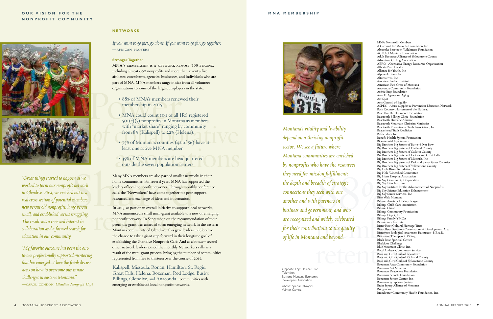14 and beyond.<br>
Black Rose Spiritual Center<br>
Black Rose Spiritual Center<br>
Black Rose Spiritual Center<br>
Black Novement Black Rose Spiritual Center<br>
Blue Mountain Clinic, Inc.<br>
Boys and Girls Club of Rich<br>
Boys and Girls Clu MNA Nonprofit Members A Carousel for Missoula Foundation Inc. Absaroka Beartooth Wilderness Foundation ACLU of Montana Foundation Adult Resource Alliance of Yellowstone County Adventure Cycling Association AERO–Alternative Energy Resources Organization Alberta Bair Theater Alliance for Youth, Inc. Alpine Artisans, Inc. Alternatives, Inc. American Indian Institute American Red Cross of Montana Anaconda Community Foundation Archie Bray Foundation Area II Agency on Aging Art Spot Arts Council of Big Sky ASPEN–Abuse Support & Prevention Education Network Back Country Horsemen of the Flathead Bear Paw Development Corporation Beartooth Billings Clinic-Foundation Beartooth Humane Alliance Beartooth Mountain Christian Ministries Beartooth Recreational Trails Association, Inc. Beaverhead Trails Coalition Befrienders, Inc. Benefis Health System Foundation Bicentennial Apartments Big Brothers Big Sisters of Butte–Silver Bow Big Brothers Big Sisters of Flathead County Big Brothers Big Sisters of Gallatin County Big Brothers Big Sisters of Helena and Great Falls Big Brothers Big Sisters of Missoula, Inc. Big Brothers Big Sisters of Park and Sweet Grass Counties Big Brothers Big Sisters of Yellowstone County Big Hole River Foundation, Inc. Big Hole Watershed Committee Big Horn Hospital Association Big Sky Community Corporation Big Sky Film Institute Big Sky Institute for the Advancement of Nonprofits Big Sky Science Education Enhancement Big Sky Senior Services, Inc. Bike Walk Montana Billings Amateur Hockey League Billings Child Care Association Billings Clinic Billings Community Foundation Billings Depot, Inc. Billings Family YMCA Biomimicry Institute Bitter Root Cultural Heritage Trust Bitter Root Resource Conservation & Development Area Bitterroot Ecological Awareness Resources–B.E.A.R. Bitterroot Therapeutic Riding Black Rose Spiritual Center Blackfoot Challenge Blue Mountain Clinic, Inc. Boyd Andrew Community Services Boys and Girls Club of Lewistown Boys and Girls Club of Richland County Boys and Girls Clubs of Yellowstone County Bozeman Area Community Foundation Bozeman Art Museum Bozeman Deaconess Foundation Bozeman Schools Foundation Bozeman Senior Center, Inc. Bozeman Symphony Society Brain Injury Alliance of Montana Bridgercare Broadwater Community Health Foundation, Inc.

10 have the resources<br>
Signalism<br>
Signal Big Hotel<br>
Pig Hotel<br>
Pig Hotel<br>
Pig Sky<br>
Seek with one<br>
partners in<br>
Partners in<br>
Partners in<br>
Pig Sky<br>
Big Sky<br>
Big Sky<br>
Big Sky<br>
Big Sky<br>
Big Sky<br>
Big Sky<br>
Big Sky<br>
Big Sky<br>
Big ETAMENT; and Who<br>
Billings Community F<br>
Billings Depot, Inc.<br>
Manus Collect Billings Family YMC.<br>
Billings Family YMC.<br>
Bitter Root Cultural<br>
Bitter Root Ceological<br>
And Devond<br>
Bitterroot Therapeuti *Montana's vitality and livability depend on a thriving nonprofit sector. We see a future where Montana communities are enriched by nonprofits who have the resources they need for mission fulfillment; the depth and breadth of strategic connections they seek with one another and with partners in business and government; and who are recognized and widely celebrated for their contributions to the quality of life in Montana and beyond.*

# *If you want to go fast, go alone. If you want to go far, go together.* **—AFRICAN PROVERB**

Part of MNA. MNA members range in size<br>organizations to some of the largest employe<br>88% of MNA's members renew<br>membership in 2015.<br>MNA could count 10% of all I **MNA'S MEMBERSHIP IS A NETWORK ALMOST 700 STRONG,** including almost 600 nonprofits and more than seventy-five affiliates: consultants, agencies, businesses, and individuals who are part of MNA. MNA members range in size from all volunteer organizations to some of the largest employers in the state.

- 88% of MNA's members renewed their membership in 2015.
- $\frac{\text{501(c)(3) nonprofiles in Montana as members, with "market share" ranging by community from 8% (Kalispell) to 22% (Helena).}\n\n• 75% of Montana's countries (42 of $6) have at$ • MNA could count 10% of all IRS registered with "market share" ranging by community from 8% (Kalispell) to 22% (Helena).
	- 75% of Montana's counties (42 of 56) have at<br>least one active MNA member.<br>• 35% of MNA members are headquartered<br>outside the seven population centers. least one active MNA member.
	- 35% of MNA members are headquartered outside the seven population centers.

She of MTNA members are headquarter outside the seven population centers.<br>
pen as we<br>
Many MNA members are also part of smaller network<br>
fit network<br>
leaders of local nonprofit networks. Through monthl<br>
ed out to a<br>
l memb Many MNA members are also part of smaller networks in their home communities. For several years MNA has supported the leaders of local nonprofit networks. Through monthly conference calls, the "Networkers" have come together for peer support, resources, and exchange of ideas and information.

In 2015, as part of an overall initiative to support lo<br>MNA announced a small mini-grant available to a<br>nonprofit network. In September, on the recomme<br>peers, the grant was awarded to an emerging network<br>Montana community In 2015, as part of an overall initiative to support local networks, MNA announced a small mini-grant available to a new or emerging nonprofit network. In September, on the recommendation of their peers, the grant was awarded to an emerging network in the eastern Montana community of Glendive. This gave leaders in Glendive the chance to take a giant step forward in their longtime goal of establishing the Glendive Nonprofit Café. And as a bonus—several other network leaders joined the monthly Networkers calls as a result of the mini-grant process, bringing the number of communities represented from five to thirteen over the course of 2015.

*"Great things started to happen as we worked to form our nonprofit network in Glendive. First, we reached out to a real cross-section of potential members: new versusold nonprofits, largeversus small,andestablishedversus struggling. The result was a renewed interest in collaboration andafocusedsearch for education in our community.*

"My favorite outcome has been the one*to-one professionallysupported mentoring* that has emerged...I love the frank discus*sions on how to overcome our innate challenges in eastern Montana."* **—CAROL CONDON,** *Glendive Nonprofit Café*

Above: Special Olympics Winter Games

## **O U R V I S I O N F O R T H E N O N P R O F I T C O M M U N I T Y**



### **N E TWO R K S**

### **Stronger Together**

Kalispell, Missoula, Ronan, Hamilton, St. Regis, Great Falls, Helena, Bozeman, Red Lodge, Busby, Billings, Glendive, and Anaconda—communities with emerging or established local nonprofit networks.



Opposite Top: Helena Civic Television Bottom: Montana Economic Developers Association.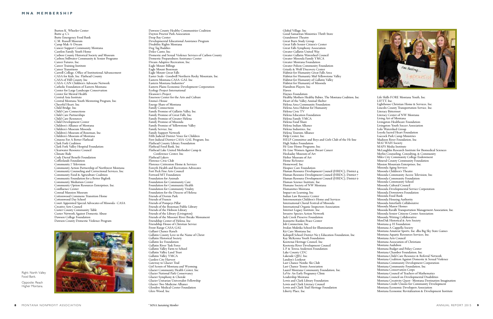Right: North Valley i : l l F o o d B a n k .

Opposite: Reach i : Higher Montana i . Deep Bay Center Developmental Educational Assistance Program Disability Rights Montana Dog Tag Buddies Dolce Canto. Inc. Domestic and Sexual Violence Services of Carbon County Domestic Preparedness Assistance Center Dream Adaptive Recreation. Inc. Eagle Mount Billings Eagle Mount Bozeman Eagle Mount Great Falls Easter Seals-Goodwill Northern Rocky Mountain, Inc. Eastern Montana CASA-GAL Inc. Eastern Montana Industries\* Eastern Plains Economic Development Corporation Ecology Project International Eleanore's Project Emerson Center for the Arts and Culture Emma's House Energy Share of Montana Family Connections Family Promise of Gallatin Valley. Inc. Family Promise of Great Falls. Inc. Family Promise of Greater Helena Family Promise of Missoula Family Promise of Yellowstone Valley Family Service, Inc. Family Support Network Fifth Judicial District Voice for Children First Judicial District CASA-GAL Program, Inc. Flathead County Library Foundation Flathead Food Bank. Inc. Flathead Lake United Methodist Camp & Conference Center. Inc. Flathead Lakers Florence Civic Club Florence Crittenton Home & Services Forsyth Health and Recreation Advocates Fort Peck Fine Arts Council Forward MT Foundation Foundation for Animals Foundation for Community Care Foundation for Community Health Foundation for Community Vitality Foundation for the Diocese of Helena Friends of Dornix Park Friends of Francis Friends of Pompeys Pillar Friends of the Bozeman Public Library Friends of the Hobson Library Friends of the Library (Livingston) Friends of the Missouri River Breaks Monument Friendship Center of Helena, Inc. Friendship House of Christian Service Front Range CASA/GAL Gallant Chance Ranch Gallatin County Love in the Name of Christ Gallatin Historical Societv Gallatin Ice Foundation Gallatin River Task Force Gallatin Vallev Farm to School Gallatin Vallev Land Trust Gallatin Valley YMCA Garden City Harvest Gateway to Glacier Trail Girl Scouts of Montana and Wyoming Glacier Community Health Center. Inc. Glacier National Park Conservancy Glacier Symphony & Chorale Glacier Únitarian Universalist Fellowship Glacier-Two Medicine Alliance Glendive Medical Center Foundation

Dawson County Healthy Communities Coalition

Dayton Proctor Park Association

Global Village, Inc. Good Samaritan Ministries Thrift Store Grandstreet Theatre Great Burn Study Group Great Falls Senior Citizen's Center Great Falls Symphony Association Greater Gallatin United Wav Greater Gallatin Watershed Council Greater Missoula Family YMCA Greater Montana Foundation Greater Polson Community Foundation Grizzly & Wolf Discovery Center Habitat for Humanity Great Falls Area Habitat for Humanity Mid-Yellowstone Valley Habitat for Humanity of Gallatin Valley Habitat for Humanity of Missoula Hamilton Players, Inc. H ave n Havnes Foundation Healthy Mothers Healthy Babies, The Montana Coalition, Inc. Heart of the Valley Animal Shelter Helena Area Community Foundation Helena Area Habitat for Humanity Helena Civic TV Helena Education Foundation Helena Family YMCA Helena Food Share Helena Indian Alliance Helena Industries, Inc. Helena Tourism Alliance Help Center, Inc. HELP Committee and Boys and Girls Club of the Hi-line High Stakes Foundation Hi-Line Home Programs. Inc. Hi-Line Women Against Breast Cancer Hockadav Museum of Art Holter Museum of Art Home ReSource Homeword, Inc. Hospice Care Foundation Human Resource Development Council (HRDC), District 4 Human Resource Development Council (HRDC). District 7 Human Resource Development Council (HRDC). District 9 Human Science Institute, Inc. Humane Society of NW Montana Humanities Montana Impact on Learning, Inc. Indian Law Resource Center Intermountain Children's Home and Services International Choral Festival of Missoula International Organic Inspectors Association Internet Legacy Institute, Inc. Invasive Species Action Network Jack Creek Preserve Foundation ,<br>Jeannette Rankin Peace Center Job Connection, Inc. Iwalan Muktika School for Illumination .<br>K9 Care Montana Inc. Kalispell School District No 5 Education Foundation, Inc. Kay McKenna Youth Foundation Kootenai Heritage Council. Inc. Kootenia River Development Council L.P. & Teresa Anderson Foundation Lake County CDC Lakeside ORU, Inc. Landon's Lookout Last Chance Nordic Ski Club Last Chance Tennis Association Laurel Montana Community Foundation, Inc. LaVie: An Early Pregnancy Clinic Leadership Montana Lewis and Clark Library Foundation Lewis and Clark Literacy Council Lewis and Clark Trail Heritage Foundation Liberty Place, Inc.

Burton K. Wheeler Center Butte 4-C's Butte Emergency Food Bank C.M. Russell Museum Camp Mak-A-Dream Cancer Support Community Montana Cantlon Family Youth Home Carbon County Historical Society and Museum Carbon/Stillwater Community & Senior Programs Career Futures. Inc. Career Training Institute Career Transitions Carroll College, Office of Institutional Advancement CASA for Kids, Inc. Flathead County CASA of Hill County, Inc. CASA-CAN Children's Advocate Network Catholic Foundation of Eastern Montana Center for Large Landscape Conservation Center for Mental Health Central Asia Institute Central Montana Youth Mentoring Program. Inc. Cheerful Heart, Inc. Child Bridge, Inc. Child Care Connections Child Care Partnerships Child Care Resources Child Development Center Children's Alliance of Montana Children's Museum Missoula Children's Museum of Bozeman, Inc. Children's Museum of Montana Citizens For A Better Flathead Clark Fork Coalition Clark Fork Valley Hospital Foundation Clearwater Resource Council Climate Ride Cody Dieruf Benefit Foundation Coffeelands Foundation Community 7 Television Community Action Partnership of Northwest Montana Community Counseling and Correctional Services, Inc. Community Food & Agriculture Coalition Community Foundation for a Better Bigfork Community Mediation Center Community Option Resources Enterprises. Inc. Confluence Center Conrad Mansion Museum Cottonwood Commons Transition Home Cottonwood Day School Court Appointed Special Advocates of Missoula-CASA Creative Arts Council Custer County Community Table Custer Network Against Domestic Abuse Dawson College Foundation Dawson County Domestic Violence Program



Glen-Wood, Inc.



Life Skills FORE Montana Youth, Inc.

LIFTT. Inc. Lighthouse Christian Home & Services, Inc. Lincoln County Transportation Service, Inc. Literacy Bitterroot Literacy Center of NW Montana Living Art of Montana Livingston Healthcare Foundation Livingston Youth Soccer Association Lolo Watershed Group Lovola Sacred Heart Foundation Luccock Park Camp Ministries Madison River Foundation. Inc. MAI WAH Society MAPS Media Institute McLaughlin Research Institute for Biomedical Sciences Merlin Counseling, Consulting, & Community Miles City Community College Endowment Mineral County Community Foundation Mission Mountain Enterprises. Inc. Missoula Aging Services Missoula Children's Theatre Missoula Community Access Television, Inc. Missoula Community Foundation Missoula Community School Missoula Cultural Council Missoula Developmental Service Corporation Missoula Downtown Foundation Missoula Food Bank Missoula Housing Authority Missoula Interfaith Collaborative Missoula Manor Homes Missoula Ravalli Transportation Management Association, Inc. Missoula Senior Citizens Center Association Missoula Writing Collaborative MonDak Historical & Arts Society Montana 4-H Foundation Montana A Cappella Society Montana Amateur Sports, Inc. dba Big Sky State Games Montana Aquatic Resources Services. Inc. Montana Arts Council Montana Association of Christians Montana Audubon Montana Budget and Policy Center Montana Chamber Foundation, Inc. Montana Child Care Resource & Referral Network Montana Coalition Against Domestic & Sexual Violence Montana Community Development Corporation Montana Community Foundation. Inc. Montana Conservation Corps Montana Council of Teachers of Mathematics Montana Council on Developmental Disabilities Montana Creativity Ouest-Montana Destination Imagination Montana Credit Unions for Community Development Montana Economic Developers Association

Montana Economic Revitalization & Development Institute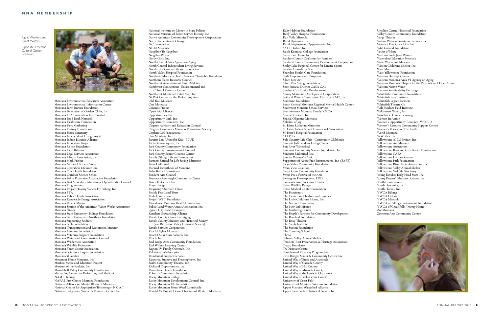Right: Warriers and i : i Quiet Waters i .

Opposite: Emerson i : Cultural Center l l , Bozeman .



Montana Environmental Education Association Montana Environmental Information Center Montana Farm Bureau Foundation Montana Federation of Garden Clubs, Inc. Montana FFA Foundation Incorporated Montana Food Bank Network Montana Healthcare Foundation Montana Herb Gathering Montana History Foundation Montana Horse Sanctuary Montana Independent Living Project Montana Indian Business Alliance Montana Innocence Project Montana Justice Foundation Montana Land Reliance Montana Legal Services Association Montana Library Association. Inc. Montana Meth Project Montana Natural History Center Montana Operation Lifesaver. Inc. Montana Oral Health Foundation Montana Outdoor Science School Montana Police Protective Association Foundation Montana Post Secondary Educational Opportunities Council Montana Programmers Montana Project Healing Waters Fly Fishing. Inc. Montana PTA Montana Public Health Association Montana Renewable Energy Association Montana Rescue Mission Montana Section of the American Water Works Association Montana Shares Montana State University-Billings Foundation Montana State University-Northern Foundation Montana Supporting Soldiers Montana Tech Foundation Montana Transportation and Restoration Museum Montana Veterans Foundation Montana Veterans Support Foundation Montana Watershed Coordination Council Montana Wilderness Association Montana Wildlife Federation Montana Youth Soccer Association Montana's Outdoor Legacy Foundation Montanical Garden Mountain Home Montana, Inc. MusEco Media and Education Project Museum of the Rockies, Inc. Musselshell Valley Community Foundation Myrna Lov Center for Performing and Media Arts NAMI-Billings NARAL Pro-Choice Montana Foundation National Alliance on Mental Illness of Montana National Center for Appropriate Technology-N.C.A.T. National Indigenous Women's Resource Center. Inc.

National Institute on Money in State Politics National Museum of Forest Service History, Inc. Native American Community Development Corporation Native Generational Change NC Foundation NCBI Missoula Neighbor To Neighbor Neighbor Works Nerdy Girls, Inc. North Central Area Agency on Aging North Central Independent Living Services North Lake County Library Foundation North Valley Hospital Foundation Northeast Montana Health Services Charitable Foundation Northern Plains Resource Council Northwest Association of Blind Athletes Northwest Connections-Environmental and Cultural Resource Center Northwest Montana United Way, Inc. NOVA Center for the Performing Arts Old Trail Museum One Montana Oneness Project Open Aid Alliance Opportunities. Inc. Opportunity Link, Inc. Opportunity Resources, Inc. Organic Advisory and Education Council Original Governor's Mansion Restoration Society Orphan Girl Productions Our Montana. Inc. Parents Let's Unite for Kids-PLUK Paris Gibson Square, Inc. Park County Community Foundation Park County Environmental Council Park County Senior Citizens Center Parmly Billings Library Foundation Partners United for Life Saving Education Peers Unlimited Planned Parenthood of Montana Polar Bears International Pondera Arts Council Potomac Greenough Community Center Poverello Center, Inc. Praver Lodge Pregnancy Outreach Clinic Prickly Pear Land Trust Pride Foundation Project WET Foundation Providence Montana Health Foundation Public Land/Water Access Association, Inc. Oueen City Ballet Company Ranchers Stewardship Alliance Ravalli County Council on Aging Ravalli County Museum and Historical Society (was Bitterroot Valley Historical Society) Ravalli Services Corporation Reach Higher Montana Reach Out & Care Wheels, Inc. Reach. Inc. Red Lodge Area Community Foundation Red Willow Learning Center Region IV Family Outreach. Inc. Relational Wisdom 360 Residential Support Services Resource, Support and Development, Inc. Rialto Community Theatre. Inc. Richland Opportunities, Inc. RiverStone Health Foundation Roberts Community Foundation Rocky Mountain College Rocky Mountain Development Council. Inc. Rocky Mountain Elk Foundation Rocky Mountain Front Weed Roundtable Ronald McDonald House Charities of Western Montana

Ruby Habitat Foundation Ruby Valley Hospital Foundation Run Wild Missoula Rural Dynamics. Inc. Rural Employment Opportunities, Inc. SAFE Harbor. Inc. Salish Kootenai College Foundation Samaritan House, Inc . Sanders County Coalition For Families Sanders County Community Development Corporation Seeley Lake Regional Center for Kinetic Sports Service Animals for You Sheridan Health Care Foundation Shift Empowerment Programs Silver Bow Art Silver Run Skiing Foundation Sixth Judicial District CASA GAL Smelter City Family Development Snowy Mountain Development Corporation Soil and Water Conservation Districts of MT, Inc. Soulshine Foundation South Central Montana Regional Mental Health Center Southwest Montana School Services Southwestern Montana Family YMCA Special K Ranch, Inc. Special Olympics Montana Splashes of Joy St. John's Lutheran Ministries St. Labre Indian School Educational Association St. Peter's Hospital Foundation STEP. Inc. Sula Country Life Club-Community Clubhouse Summit Independent Living Center Sun River Watershed Sunburst Community Service Foundation, Inc. Sunburst Unlimited. Inc. Sunrise Women's Clinic Supporters of Abuse Free Environments, Inc. (SAFE) Swan Valley Community Foundation Swan View Coalition Sweet Grass Community Foundation Sweet Pea a Festival of the Arts Sweetgrass Development, EDD Tamarack Grief Resource Center Teller Wildlife Refuge Teton Medical Center Foundation The Bozeman 3 The Center for Children and Families The Little Children's Home, Inc. The Nature Conservancy The New Life Mission The Nurturing Center The People's Partners for Community Development The Rosebud Foundation The Roxy Theater The Salish Institute The Station Foundation The Traveling School **Thrive** Tobacco Valley Animal Shelter Travelers' Rest Preservation & Heritage Association Treacy Foundation Trv.Discover.Create Tumbleweed Runaway Program. Inc. Twin Bridges Senior & Community Center, Inc. United Way of Butte and Anaconda United Way of Cascade County United Way of Hill County United Way of Missoula County United Way of the Lewis & Clark Area United Way of Yellowstone County University of Great Falls University of Montana Western Foundation Upper Missouri Watershed Alliance Upper Swan Valley Historical Society. Inc.

Ursuline Centre Historical Foundation Valley County Community Foundation Verge Theater Victim-Witness Assistance Services Inc. Violence Free Crisis Line, Inc. Vital Ground Foundation Voices of Hope Warriors and Ouiet Waters Watershed Education Network WaterWorks Art Museum Watson Children's Shelter, Inc. West Mont West Yellowstone Foundation Western Heritage Center Western Montana Area VI Agency on Aging Western Montana Chapter for the Prevention of Elder Abuse Western Native Voice Western Sustainability Exchange Whitefish Community Foundation Whitefish Lake Institute Whitefish Legacy Partners Whitefish Theatre Co. Wild Rockies Field Institute Wilderness Watch, Inc. Windhorse Equine Learning Women In Action Women's Opportunity Resource-W.O.R.D. Women's Resource Community Support Center Women's Voices For The Earth World Montana WW Idea. Inc. Yellowstone AIDS Project, Inc. Yellowstone Art Museum Yellowstone Association Yellowstone Boys and Girls Ranch Foundation Yellowstone CASA Yellowstone Historic Center Yellowstone Park Foundation Yellowstone River Parks Association Inc. Yellowstone Valley Animal Shelter Yellowstone Wildlife Sanctuary Young Families Early Head Start. Inc. Young Parents' Education Center. Inc. Youth Connections Youth Dynamics, Inc. Youth Homes, Inc. YWCA Billings YWCA Helena YWCA Missoula YWCA of Billings Endowment Foundation YWCA of Great Falls / Mercy Home ZooMontana Zootown Arts Community Center

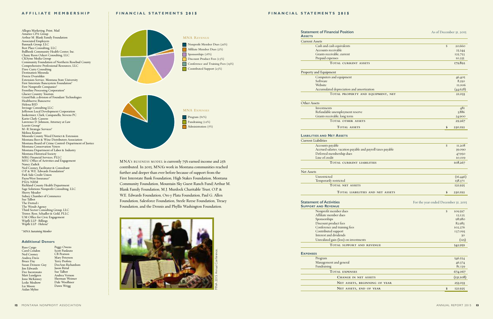

MNA's BUSINESS MODEL is currently 75% earned income and 25% contributed. In 2015, MNA's work in Montana communities reached further and deeper than ever before because of support from the First Interstate Bank Foundation, High Stakes Foundation, Montana Community Foundation, Mountain Sky Guest Ranch Fund/Arthur M. Blank Family Foundation, M.J. Murdock Charitable Trust, O.P. & W.E. Edwards Foundation, Oro y Plata Foundation, Paul G. Allen Foundation, Salesforce Foundation, Steele Reese Foundation, Treacy Foundation, and the Dennis and Phyllis Washington Foundation.

**S**

Allegra Marketing, Print, Mail Amatics CPA Group Arthur M. Blank Family Foundation Associated Employers Bannack Group, LLC Best Place Consulting, LLC Bullhook Community Health Center. Inc. Chany Reon Ockert Consulting, LLC CKSvme Media Group Community Foundation of Northern Rosebud County Comprehensive Professional Resources, LLC Dave Curry Consulting Destination Missoula Dorcie Dvarishkis Extension Service. Montana State University First Interstate Bancsystem Foundation\* First Nonprofit Companies\* Frontline Processing Corporation\* Glacier Country Tourism GrantHub, a division of Foundant Technologies Healthserve/Bancserve Helena BID Invisage Consulting LLC Iefferson Local Development Corporation <u>Junkermier. Clark. Campanella. Stevens PC</u> .<br>Karin Clark-Cassens Lawrence D. Johnson, Attorney at Law Leavitt Group\* M+R Strategic Services\* Melissa Kramer Missoula County Weed District & Extension Montana Beer & Wine Distributors Association Montana Board of Crime Control-Department of Justice Montana Conservation Voters Montana Department of Labor & Industry Montana Historical Society MRG Financial Services. PLLC MSU Office of Activities and Engagement Nancy Zadick Ned Cooney. Facilitator & Consultant O.P. & W.E. Edwards Foundation\* Park Side Credit Union Payne West Insurance\* PSIA-NRM Richland County Health Department Sage Solutions Nonprofit Consulting, LLC Sherry Meador Sidney Chamber of Commerce Sue Talbot The Dotted i The Wendt Agency Third Sector Consulting Group, LLC Trister, Ross, Schadler & Gold, PLLC UM Office for Civic Engagement Wipfli LLP-Billings Wipfli LLP-Helena\*

| <b>Statement of Financial Position</b><br><b>ASSETS</b> |  |
|---------------------------------------------------------|--|
| <b>Current Assets</b>                                   |  |

| <b>Current Assets</b>                                        |               |           |
|--------------------------------------------------------------|---------------|-----------|
| Cash and cash equivalents                                    | $\mathcal{S}$ | 20,660    |
| Accounts receivable                                          |               | 23,244    |
| Grants receivable, current                                   |               | 125,753   |
| Prepaid expenses                                             |               | 10,235    |
| <b>TOTAL CURRENT ASSETS</b>                                  |               | 179,892   |
| Property and Equipment                                       |               |           |
| Computers and equipment                                      |               | 46,405    |
| Software                                                     |               | 8,250     |
| Website                                                      |               | 11,006    |
| Accumulated depreciation and amortization                    |               | (44, 628) |
| TOTAL PROPERTY AND EQUIPMENT, NET                            |               | 21,033    |
| Other Assets                                                 |               |           |
| Investments                                                  |               | 481       |
| Refundable unemployment reserve                              |               | 3,886     |
| Grants receivable, long term                                 |               | 24,900    |
| <b>TOTAL OTHER ASSETS</b>                                    |               | 29,267    |
| TOTAL ASSETS                                                 | S             | 230,192   |
| <b>LIABILITIES AND NET ASSETS</b>                            |               |           |
| <b>Current Liabilities</b>                                   |               |           |
| Accounts payable                                             | $\mathcal{S}$ | II,208    |
| Accrued salaries, vacation payable and payroll taxes payable |               | 39,090    |
| Deferred membership dues                                     |               | 47,950    |
| Line of credit                                               |               | 10,019    |
| <b>TOTAL CURRENT LIABILITIES</b>                             |               | 108,267   |
| <b>Net Assets</b>                                            |               |           |
| Unrestricted                                                 |               | (16, 446) |
| Temporarily restricted                                       |               | 138,371   |
| TOTAL NET ASSETS                                             |               | 121,925   |
| TOTAL LIABILITIES AND NET ASSETS                             | S             | 230,192   |

### **Statement of Activities SUPPORT AND REVENUE**

Nonprofit member dues Affiliate member dues Sponsorships Discount product fees Conference and training fees Contributed support Interest and dividends Unrealized gain (loss) on investmen

TOTAL SUPPORT AN

### **EXPENSES**

| rrent Assets                                                 |    |           |
|--------------------------------------------------------------|----|-----------|
| Cash and cash equivalents                                    | \$ | 20,660    |
| Accounts receivable                                          |    | 23,244    |
| Grants receivable, current                                   |    | 125,753   |
| Prepaid expenses                                             |    | 10,235    |
| TOTAL CURRENT ASSETS                                         |    | 179,892   |
| operty and Equipment                                         |    |           |
| Computers and equipment                                      |    | 46,405    |
| Software                                                     |    | 8,250     |
| Website                                                      |    | 11,006    |
| Accumulated depreciation and amortization                    |    | (44, 628) |
| TOTAL PROPERTY AND EQUIPMENT, NET                            |    | 21,033    |
| her Assets                                                   |    |           |
| Investments                                                  |    | 48I       |
| Refundable unemployment reserve                              |    | 3,886     |
| Grants receivable, long term                                 |    | 24,900    |
| <b>TOTAL OTHER ASSETS</b>                                    |    | 29,267    |
| <b>TOTAL ASSETS</b>                                          | S  | 230,192   |
| <b>ABILITIES AND NET ASSETS</b>                              |    |           |
| rrent Liabilities                                            |    |           |
| Accounts payable                                             | \$ | II,208    |
| Accrued salaries, vacation payable and payroll taxes payable |    | 39,090    |
| Deferred membership dues                                     |    | 47,950    |
| Line of credit                                               |    | 10,019    |
| <b>TOTAL CURRENT LIABILITIES</b>                             |    | 108,267   |
| t Assets                                                     |    |           |
| Unrestricted                                                 |    | (16, 446) |
| Temporarily restricted                                       |    | 138,371   |
| <b>TOTAL NET ASSETS</b>                                      |    | 121,925   |
| TOTAL LIABILITIES AND NET ASSETS                             | S  | 230,192   |
|                                                              |    |           |

|                  | \$<br>109,597 |
|------------------|---------------|
|                  | 12,125        |
|                  | 98,980        |
|                  | 82,983        |
|                  | 102,276       |
|                  | 137,093       |
|                  | 30            |
| nts              | (125)         |
| <b>D REVENUE</b> | 542,959       |
|                  |               |
|                  |               |

- Russ Cargo Carol Condon Ned Cooney A n d r e a D avi s Bruce Dav Susan Denson-Guy Iim Edwards .<br>Dee Incoronato Matt Lundgren Iono McKinney Leslie Modrow Liz Moore A i d a n Myh r e
- Peggy Owens Scott Pankratz C<sub>B</sub> Pearson Mary Peterson Terry Profota Dee Ann Richardson Iason Rittal .<br>Sue Talbot Andrea Vernon Sherman Weimer Dale Woolhiser D awn Wr i gg

| Program                       | 546,554   |
|-------------------------------|-----------|
| Management and general        | 46,374    |
| Fundraising                   | 81,139    |
| <b>TOTAL EXPENSES</b>         | 674,067   |
| CHANGE IN NET ASSETS          | (131,108) |
| NET ASSETS, BEGINNING OF YEAR | 253,033   |
| NET ASSETS, END OF YEAR       | 121,925   |

### As of December 31, 2015

### For the year ended December 31, 2015

### \* *M NA S u s ta in ing M e m b e r*

### **A d d i t i o n a l D o n o r s**

### **A F F I L I A T E M E M B E R S H I P**

FINANCIAL STATEMENTS 2015

### FINANCIAL STATEMENTS 2015

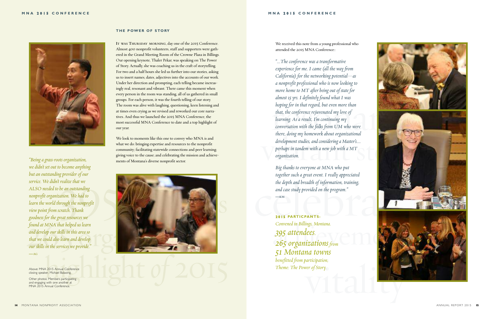

### **T H E P OWER O F S TO RY**

**IT WAS THURSDAY MORNING**, day one of the 2015 Conference. Almost 400 nonprofit volunteers, staff and supporters were gathered in the Grand Meeting Room of the Crowne Plaza in Billings. Our opening keynote, Thaler Pekar, was speaking on The Power of Story. Actually, she was coaching us in the craft of storytelling. For two and a half hours she led us further into our stories, asking us to insert names, dates, adjectives into the accounts of our work. Under her direction and prompting, each telling became increasingly real, resonant and vibrant. There came this moment when every person in the room was standing, all of us gathered in small groups. For each person, it was the fourth telling of our story. The room was alive with laughing, questioning, keen listening and at times even crying as we revised and reworked our core narratives. And thus we launched the 2015 MNA Conference, the most successful MNA Conference to date and a top highlight of our year.

*we didn't set out to become anything but an outstanding provider of our service. Wedidn't realize that we ALSO needed to be an outstanding nonprofit organization. We had to learn the world through the nonprofit view point from scratch. Thank goodness for the great resources we foundat MNA that helped us learn and develop our skills in this area so that we could also learn and develop our skills in the services we provide."* **—AG**

We look to moments like this one to convey who MNA is and what we do: bringing expertise and resources to the nonprofit community; facilitating statewide connections and peer learning; giving voice to the cause; and celebrating the mission and achievements of Montana's diverse nonprofit sector. *"Beingagrass-rootsorganization,*

almost 15 yrs. I definitely found what I was<br>hoping for in that regard, but even more than<br>that, the conference rejuvenated my love of<br>learning. As a result, I'm continuing my<br>conversation with the folks from UM who were there, doing my homework about organizational<br>development studies, and considering a Master's....<br>perhaps in tandem with a new job with a MT<br>organization. *"...The conference was a transformative experience for me. I came (all the way from California) for the networking potential—as a nonprofit professional who is now looking to move* home to MT after being out of state for *almost 15yrs.Idefinitelyfound what I was hoping for in that regard, but even more than that, the conference rejuvenated my love of learning. As a result, I'm continuing my conversation with the folks from UM who were there, doing my homework about organizational development studies,andconsideringa Master's.... perhaps in tandem with a new job with a MT organization.*

together such a great event. I really appreciated<br>the depth and breadth of information, training,<br>and case study provided on the program."<br>Notes that the program." *Big thanks to everyone at MNA who put together such a great event. I really appreciated the depth and breadth of information, training, and case study provided on the program."* **—KM**

achievement in Billings, Montana.<br>
295 attendees.<br>
265 organizations from **2 0 1 5 PARTICPANTS:** *Convenedin Billings, Montana. 395 attendees. 51 Montana towns benefitted from participation; Theme: The Power of Story.*

![](_page_7_Picture_15.jpeg)

We received this note from a young professional who attended the 2015 MNA Conference::

![](_page_7_Picture_2.jpeg)

Above: MNA 2015 Annual Conference closing speaker, Michael Balaoing.

Other photos: Members participating and engaging with one another at MNA 2015 Annual Conference.